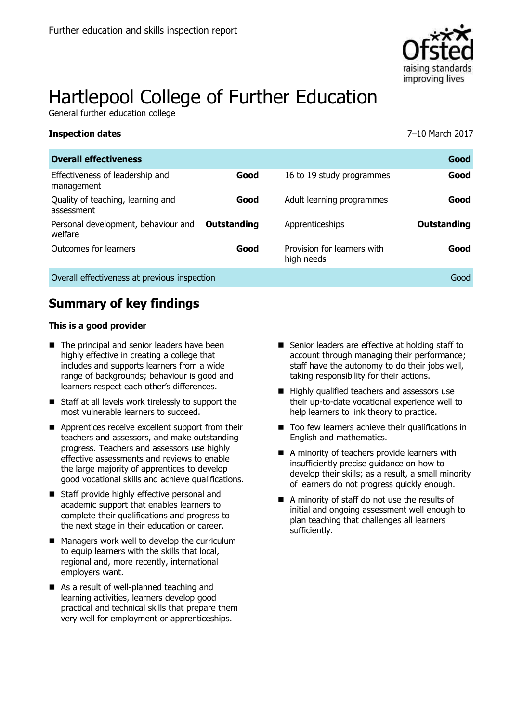

# Hartlepool College of Further Education

General further education college

#### **Inspection dates** 7–10 March 2017

| <b>Overall effectiveness</b>                    |             |                                           | Good        |
|-------------------------------------------------|-------------|-------------------------------------------|-------------|
| Effectiveness of leadership and<br>management   | Good        | 16 to 19 study programmes                 | Good        |
| Quality of teaching, learning and<br>assessment | Good        | Adult learning programmes                 | Good        |
| Personal development, behaviour and<br>welfare  | Outstanding | Apprenticeships                           | Outstanding |
| Outcomes for learners                           | Good        | Provision for learners with<br>high needs | Good        |
| Overall effectiveness at previous inspection    |             |                                           | Good        |

## **Summary of key findings**

#### **This is a good provider**

- The principal and senior leaders have been highly effective in creating a college that includes and supports learners from a wide range of backgrounds; behaviour is good and learners respect each other's differences.
- Staff at all levels work tirelessly to support the most vulnerable learners to succeed.
- Apprentices receive excellent support from their teachers and assessors, and make outstanding progress. Teachers and assessors use highly effective assessments and reviews to enable the large majority of apprentices to develop good vocational skills and achieve qualifications.
- Staff provide highly effective personal and academic support that enables learners to complete their qualifications and progress to the next stage in their education or career.
- Managers work well to develop the curriculum to equip learners with the skills that local, regional and, more recently, international employers want.
- As a result of well-planned teaching and learning activities, learners develop good practical and technical skills that prepare them very well for employment or apprenticeships.
- Senior leaders are effective at holding staff to account through managing their performance; staff have the autonomy to do their jobs well, taking responsibility for their actions.
- $\blacksquare$  Highly qualified teachers and assessors use their up-to-date vocational experience well to help learners to link theory to practice.
- $\blacksquare$  Too few learners achieve their qualifications in English and mathematics.
- A minority of teachers provide learners with insufficiently precise guidance on how to develop their skills; as a result, a small minority of learners do not progress quickly enough.
- A minority of staff do not use the results of initial and ongoing assessment well enough to plan teaching that challenges all learners sufficiently.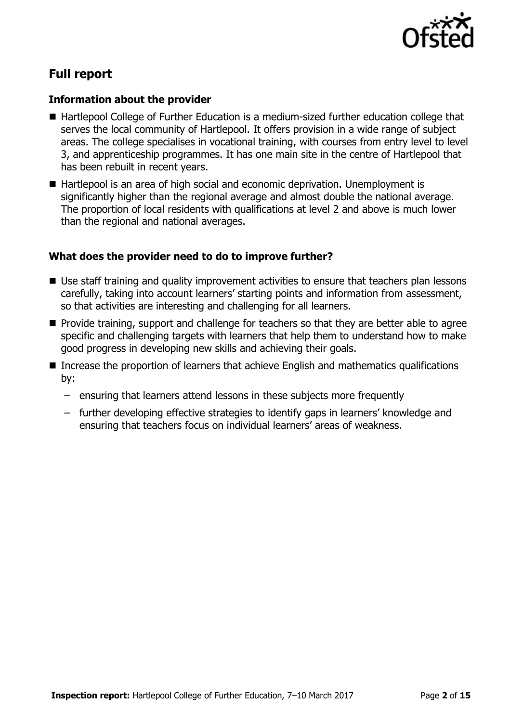

## **Full report**

#### **Information about the provider**

- Hartlepool College of Further Education is a medium-sized further education college that serves the local community of Hartlepool. It offers provision in a wide range of subject areas. The college specialises in vocational training, with courses from entry level to level 3, and apprenticeship programmes. It has one main site in the centre of Hartlepool that has been rebuilt in recent years.
- Hartlepool is an area of high social and economic deprivation. Unemployment is significantly higher than the regional average and almost double the national average. The proportion of local residents with qualifications at level 2 and above is much lower than the regional and national averages.

#### **What does the provider need to do to improve further?**

- Use staff training and quality improvement activities to ensure that teachers plan lessons carefully, taking into account learners' starting points and information from assessment, so that activities are interesting and challenging for all learners.
- **Provide training, support and challenge for teachers so that they are better able to agree** specific and challenging targets with learners that help them to understand how to make good progress in developing new skills and achieving their goals.
- Increase the proportion of learners that achieve English and mathematics qualifications by:
	- ensuring that learners attend lessons in these subjects more frequently
	- further developing effective strategies to identify gaps in learners' knowledge and ensuring that teachers focus on individual learners' areas of weakness.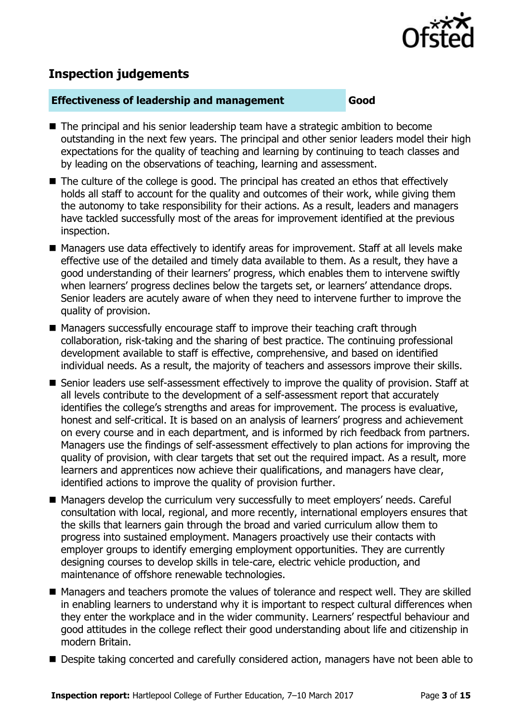

## **Inspection judgements**

#### **Effectiveness of leadership and management Good**

- The principal and his senior leadership team have a strategic ambition to become outstanding in the next few years. The principal and other senior leaders model their high expectations for the quality of teaching and learning by continuing to teach classes and by leading on the observations of teaching, learning and assessment.
- The culture of the college is good. The principal has created an ethos that effectively holds all staff to account for the quality and outcomes of their work, while giving them the autonomy to take responsibility for their actions. As a result, leaders and managers have tackled successfully most of the areas for improvement identified at the previous inspection.
- Managers use data effectively to identify areas for improvement. Staff at all levels make effective use of the detailed and timely data available to them. As a result, they have a good understanding of their learners' progress, which enables them to intervene swiftly when learners' progress declines below the targets set, or learners' attendance drops. Senior leaders are acutely aware of when they need to intervene further to improve the quality of provision.
- Managers successfully encourage staff to improve their teaching craft through collaboration, risk-taking and the sharing of best practice. The continuing professional development available to staff is effective, comprehensive, and based on identified individual needs. As a result, the majority of teachers and assessors improve their skills.
- Senior leaders use self-assessment effectively to improve the quality of provision. Staff at all levels contribute to the development of a self-assessment report that accurately identifies the college's strengths and areas for improvement. The process is evaluative, honest and self-critical. It is based on an analysis of learners' progress and achievement on every course and in each department, and is informed by rich feedback from partners. Managers use the findings of self-assessment effectively to plan actions for improving the quality of provision, with clear targets that set out the required impact. As a result, more learners and apprentices now achieve their qualifications, and managers have clear, identified actions to improve the quality of provision further.
- Managers develop the curriculum very successfully to meet employers' needs. Careful consultation with local, regional, and more recently, international employers ensures that the skills that learners gain through the broad and varied curriculum allow them to progress into sustained employment. Managers proactively use their contacts with employer groups to identify emerging employment opportunities. They are currently designing courses to develop skills in tele-care, electric vehicle production, and maintenance of offshore renewable technologies.
- Managers and teachers promote the values of tolerance and respect well. They are skilled in enabling learners to understand why it is important to respect cultural differences when they enter the workplace and in the wider community. Learners' respectful behaviour and good attitudes in the college reflect their good understanding about life and citizenship in modern Britain.
- Despite taking concerted and carefully considered action, managers have not been able to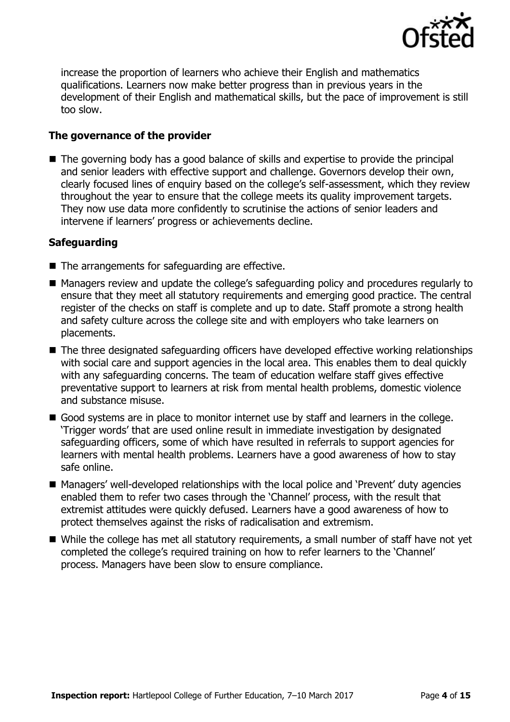

increase the proportion of learners who achieve their English and mathematics qualifications. Learners now make better progress than in previous years in the development of their English and mathematical skills, but the pace of improvement is still too slow.

#### **The governance of the provider**

■ The governing body has a good balance of skills and expertise to provide the principal and senior leaders with effective support and challenge. Governors develop their own, clearly focused lines of enquiry based on the college's self-assessment, which they review throughout the year to ensure that the college meets its quality improvement targets. They now use data more confidently to scrutinise the actions of senior leaders and intervene if learners' progress or achievements decline.

#### **Safeguarding**

- The arrangements for safeguarding are effective.
- Managers review and update the college's safeguarding policy and procedures regularly to ensure that they meet all statutory requirements and emerging good practice. The central register of the checks on staff is complete and up to date. Staff promote a strong health and safety culture across the college site and with employers who take learners on placements.
- The three designated safeguarding officers have developed effective working relationships with social care and support agencies in the local area. This enables them to deal quickly with any safeguarding concerns. The team of education welfare staff gives effective preventative support to learners at risk from mental health problems, domestic violence and substance misuse.
- Good systems are in place to monitor internet use by staff and learners in the college. 'Trigger words' that are used online result in immediate investigation by designated safeguarding officers, some of which have resulted in referrals to support agencies for learners with mental health problems. Learners have a good awareness of how to stay safe online.
- Managers' well-developed relationships with the local police and 'Prevent' duty agencies enabled them to refer two cases through the 'Channel' process, with the result that extremist attitudes were quickly defused. Learners have a good awareness of how to protect themselves against the risks of radicalisation and extremism.
- While the college has met all statutory requirements, a small number of staff have not yet completed the college's required training on how to refer learners to the 'Channel' process. Managers have been slow to ensure compliance.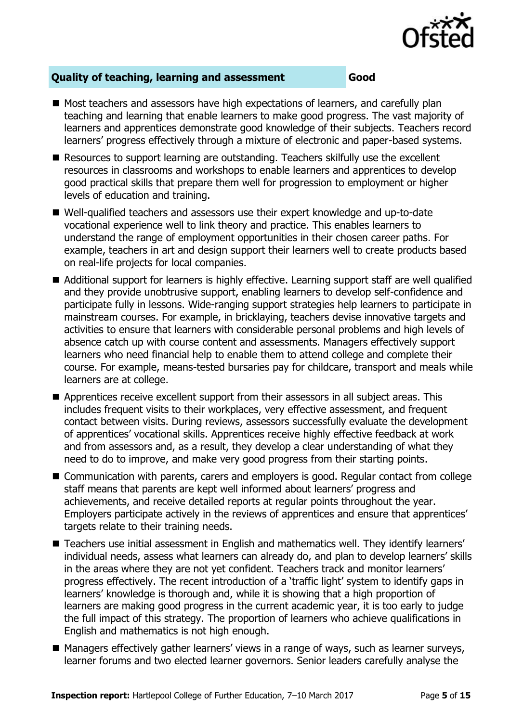

### **Quality of teaching, learning and assessment Good**

- Most teachers and assessors have high expectations of learners, and carefully plan teaching and learning that enable learners to make good progress. The vast majority of learners and apprentices demonstrate good knowledge of their subjects. Teachers record learners' progress effectively through a mixture of electronic and paper-based systems.
- Resources to support learning are outstanding. Teachers skilfully use the excellent resources in classrooms and workshops to enable learners and apprentices to develop good practical skills that prepare them well for progression to employment or higher levels of education and training.
- Well-qualified teachers and assessors use their expert knowledge and up-to-date vocational experience well to link theory and practice. This enables learners to understand the range of employment opportunities in their chosen career paths. For example, teachers in art and design support their learners well to create products based on real-life projects for local companies.
- Additional support for learners is highly effective. Learning support staff are well qualified and they provide unobtrusive support, enabling learners to develop self-confidence and participate fully in lessons. Wide-ranging support strategies help learners to participate in mainstream courses. For example, in bricklaying, teachers devise innovative targets and activities to ensure that learners with considerable personal problems and high levels of absence catch up with course content and assessments. Managers effectively support learners who need financial help to enable them to attend college and complete their course. For example, means-tested bursaries pay for childcare, transport and meals while learners are at college.
- Apprentices receive excellent support from their assessors in all subject areas. This includes frequent visits to their workplaces, very effective assessment, and frequent contact between visits. During reviews, assessors successfully evaluate the development of apprentices' vocational skills. Apprentices receive highly effective feedback at work and from assessors and, as a result, they develop a clear understanding of what they need to do to improve, and make very good progress from their starting points.
- Communication with parents, carers and employers is good. Regular contact from college staff means that parents are kept well informed about learners' progress and achievements, and receive detailed reports at regular points throughout the year. Employers participate actively in the reviews of apprentices and ensure that apprentices' targets relate to their training needs.
- Teachers use initial assessment in English and mathematics well. They identify learners' individual needs, assess what learners can already do, and plan to develop learners' skills in the areas where they are not yet confident. Teachers track and monitor learners' progress effectively. The recent introduction of a 'traffic light' system to identify gaps in learners' knowledge is thorough and, while it is showing that a high proportion of learners are making good progress in the current academic year, it is too early to judge the full impact of this strategy. The proportion of learners who achieve qualifications in English and mathematics is not high enough.
- Managers effectively gather learners' views in a range of ways, such as learner surveys, learner forums and two elected learner governors. Senior leaders carefully analyse the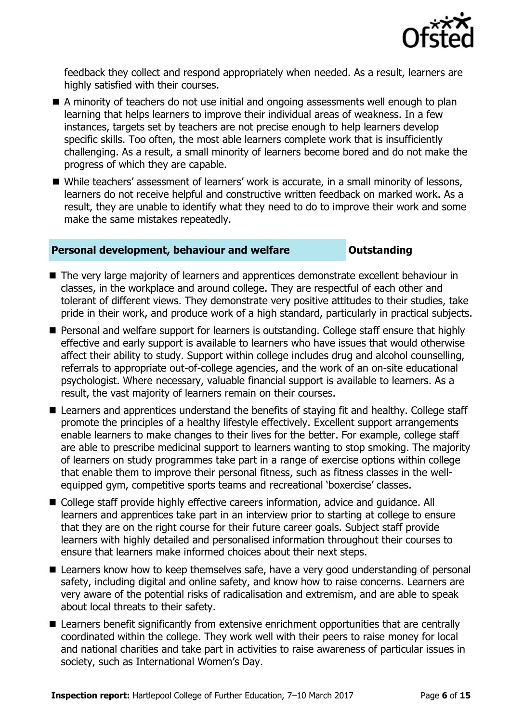

feedback they collect and respond appropriately when needed. As a result, learners are highly satisfied with their courses.

- A minority of teachers do not use initial and ongoing assessments well enough to plan learning that helps learners to improve their individual areas of weakness. In a few instances, targets set by teachers are not precise enough to help learners develop specific skills. Too often, the most able learners complete work that is insufficiently challenging. As a result, a small minority of learners become bored and do not make the progress of which they are capable.
- While teachers' assessment of learners' work is accurate, in a small minority of lessons, learners do not receive helpful and constructive written feedback on marked work. As a result, they are unable to identify what they need to do to improve their work and some make the same mistakes repeatedly.

#### **Personal development, behaviour and welfare <b>COUTS** Dutstanding

- The very large majority of learners and apprentices demonstrate excellent behaviour in classes, in the workplace and around college. They are respectful of each other and tolerant of different views. They demonstrate very positive attitudes to their studies, take pride in their work, and produce work of a high standard, particularly in practical subjects.
- **Personal and welfare support for learners is outstanding. College staff ensure that highly** effective and early support is available to learners who have issues that would otherwise affect their ability to study. Support within college includes drug and alcohol counselling, referrals to appropriate out-of-college agencies, and the work of an on-site educational psychologist. Where necessary, valuable financial support is available to learners. As a result, the vast majority of learners remain on their courses.
- Learners and apprentices understand the benefits of staying fit and healthy. College staff promote the principles of a healthy lifestyle effectively. Excellent support arrangements enable learners to make changes to their lives for the better. For example, college staff are able to prescribe medicinal support to learners wanting to stop smoking. The majority of learners on study programmes take part in a range of exercise options within college that enable them to improve their personal fitness, such as fitness classes in the wellequipped gym, competitive sports teams and recreational 'boxercise' classes.
- College staff provide highly effective careers information, advice and guidance. All learners and apprentices take part in an interview prior to starting at college to ensure that they are on the right course for their future career goals. Subject staff provide learners with highly detailed and personalised information throughout their courses to ensure that learners make informed choices about their next steps.
- Learners know how to keep themselves safe, have a very good understanding of personal safety, including digital and online safety, and know how to raise concerns. Learners are very aware of the potential risks of radicalisation and extremism, and are able to speak about local threats to their safety.
- Learners benefit significantly from extensive enrichment opportunities that are centrally coordinated within the college. They work well with their peers to raise money for local and national charities and take part in activities to raise awareness of particular issues in society, such as International Women's Day.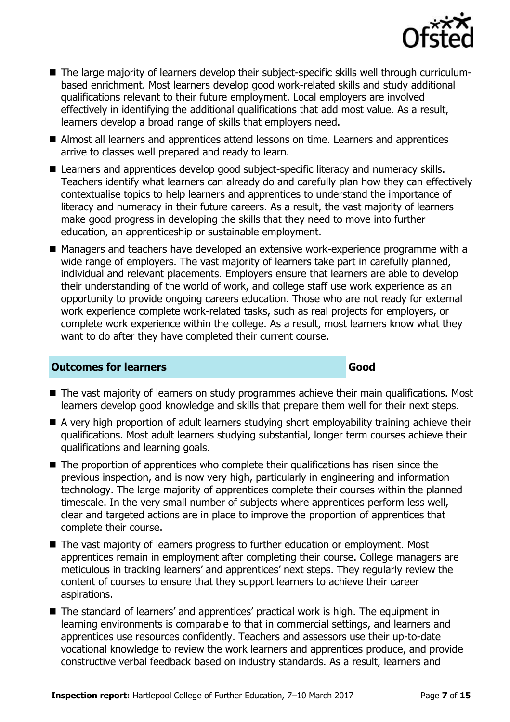

- The large majority of learners develop their subject-specific skills well through curriculumbased enrichment. Most learners develop good work-related skills and study additional qualifications relevant to their future employment. Local employers are involved effectively in identifying the additional qualifications that add most value. As a result, learners develop a broad range of skills that employers need.
- Almost all learners and apprentices attend lessons on time. Learners and apprentices arrive to classes well prepared and ready to learn.
- Learners and apprentices develop good subject-specific literacy and numeracy skills. Teachers identify what learners can already do and carefully plan how they can effectively contextualise topics to help learners and apprentices to understand the importance of literacy and numeracy in their future careers. As a result, the vast majority of learners make good progress in developing the skills that they need to move into further education, an apprenticeship or sustainable employment.
- Managers and teachers have developed an extensive work-experience programme with a wide range of employers. The vast majority of learners take part in carefully planned, individual and relevant placements. Employers ensure that learners are able to develop their understanding of the world of work, and college staff use work experience as an opportunity to provide ongoing careers education. Those who are not ready for external work experience complete work-related tasks, such as real projects for employers, or complete work experience within the college. As a result, most learners know what they want to do after they have completed their current course.

#### **Outcomes for learners Good**

- The vast majority of learners on study programmes achieve their main qualifications. Most learners develop good knowledge and skills that prepare them well for their next steps.
- A very high proportion of adult learners studying short employability training achieve their qualifications. Most adult learners studying substantial, longer term courses achieve their qualifications and learning goals.
- The proportion of apprentices who complete their qualifications has risen since the previous inspection, and is now very high, particularly in engineering and information technology. The large majority of apprentices complete their courses within the planned timescale. In the very small number of subjects where apprentices perform less well, clear and targeted actions are in place to improve the proportion of apprentices that complete their course.
- The vast majority of learners progress to further education or employment. Most apprentices remain in employment after completing their course. College managers are meticulous in tracking learners' and apprentices' next steps. They regularly review the content of courses to ensure that they support learners to achieve their career aspirations.
- The standard of learners' and apprentices' practical work is high. The equipment in learning environments is comparable to that in commercial settings, and learners and apprentices use resources confidently. Teachers and assessors use their up-to-date vocational knowledge to review the work learners and apprentices produce, and provide constructive verbal feedback based on industry standards. As a result, learners and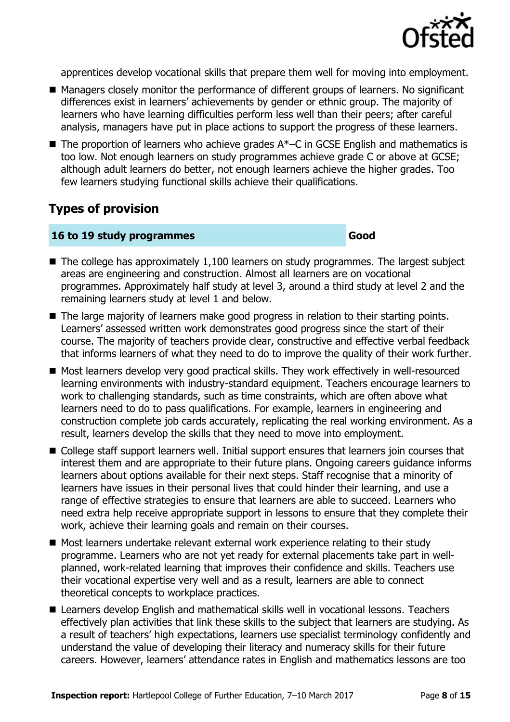

apprentices develop vocational skills that prepare them well for moving into employment.

- Managers closely monitor the performance of different groups of learners. No significant differences exist in learners' achievements by gender or ethnic group. The majority of learners who have learning difficulties perform less well than their peers; after careful analysis, managers have put in place actions to support the progress of these learners.
- $\blacksquare$  The proportion of learners who achieve grades  $A^*$ –C in GCSE English and mathematics is too low. Not enough learners on study programmes achieve grade C or above at GCSE; although adult learners do better, not enough learners achieve the higher grades. Too few learners studying functional skills achieve their qualifications.

## **Types of provision**

#### **16 to 19 study programmes Good**

- $\blacksquare$  The college has approximately 1,100 learners on study programmes. The largest subject areas are engineering and construction. Almost all learners are on vocational programmes. Approximately half study at level 3, around a third study at level 2 and the remaining learners study at level 1 and below.
- The large majority of learners make good progress in relation to their starting points. Learners' assessed written work demonstrates good progress since the start of their course. The majority of teachers provide clear, constructive and effective verbal feedback that informs learners of what they need to do to improve the quality of their work further.
- Most learners develop very good practical skills. They work effectively in well-resourced learning environments with industry-standard equipment. Teachers encourage learners to work to challenging standards, such as time constraints, which are often above what learners need to do to pass qualifications. For example, learners in engineering and construction complete job cards accurately, replicating the real working environment. As a result, learners develop the skills that they need to move into employment.
- College staff support learners well. Initial support ensures that learners join courses that interest them and are appropriate to their future plans. Ongoing careers guidance informs learners about options available for their next steps. Staff recognise that a minority of learners have issues in their personal lives that could hinder their learning, and use a range of effective strategies to ensure that learners are able to succeed. Learners who need extra help receive appropriate support in lessons to ensure that they complete their work, achieve their learning goals and remain on their courses.
- Most learners undertake relevant external work experience relating to their study programme. Learners who are not yet ready for external placements take part in wellplanned, work-related learning that improves their confidence and skills. Teachers use their vocational expertise very well and as a result, learners are able to connect theoretical concepts to workplace practices.
- Learners develop English and mathematical skills well in vocational lessons. Teachers effectively plan activities that link these skills to the subject that learners are studying. As a result of teachers' high expectations, learners use specialist terminology confidently and understand the value of developing their literacy and numeracy skills for their future careers. However, learners' attendance rates in English and mathematics lessons are too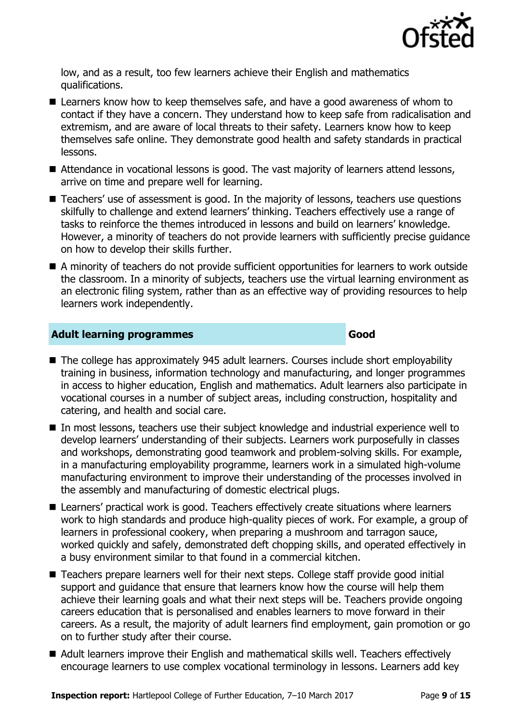

low, and as a result, too few learners achieve their English and mathematics qualifications.

- Learners know how to keep themselves safe, and have a good awareness of whom to contact if they have a concern. They understand how to keep safe from radicalisation and extremism, and are aware of local threats to their safety. Learners know how to keep themselves safe online. They demonstrate good health and safety standards in practical lessons.
- Attendance in vocational lessons is good. The vast majority of learners attend lessons, arrive on time and prepare well for learning.
- Teachers' use of assessment is good. In the majority of lessons, teachers use questions skilfully to challenge and extend learners' thinking. Teachers effectively use a range of tasks to reinforce the themes introduced in lessons and build on learners' knowledge. However, a minority of teachers do not provide learners with sufficiently precise guidance on how to develop their skills further.
- A minority of teachers do not provide sufficient opportunities for learners to work outside the classroom. In a minority of subjects, teachers use the virtual learning environment as an electronic filing system, rather than as an effective way of providing resources to help learners work independently.

### **Adult learning programmes Good**

- The college has approximately 945 adult learners. Courses include short employability training in business, information technology and manufacturing, and longer programmes in access to higher education, English and mathematics. Adult learners also participate in vocational courses in a number of subject areas, including construction, hospitality and catering, and health and social care.
- In most lessons, teachers use their subject knowledge and industrial experience well to develop learners' understanding of their subjects. Learners work purposefully in classes and workshops, demonstrating good teamwork and problem-solving skills. For example, in a manufacturing employability programme, learners work in a simulated high-volume manufacturing environment to improve their understanding of the processes involved in the assembly and manufacturing of domestic electrical plugs.
- Learners' practical work is good. Teachers effectively create situations where learners work to high standards and produce high-quality pieces of work. For example, a group of learners in professional cookery, when preparing a mushroom and tarragon sauce, worked quickly and safely, demonstrated deft chopping skills, and operated effectively in a busy environment similar to that found in a commercial kitchen.
- Teachers prepare learners well for their next steps. College staff provide good initial support and guidance that ensure that learners know how the course will help them achieve their learning goals and what their next steps will be. Teachers provide ongoing careers education that is personalised and enables learners to move forward in their careers. As a result, the majority of adult learners find employment, gain promotion or go on to further study after their course.
- Adult learners improve their English and mathematical skills well. Teachers effectively encourage learners to use complex vocational terminology in lessons. Learners add key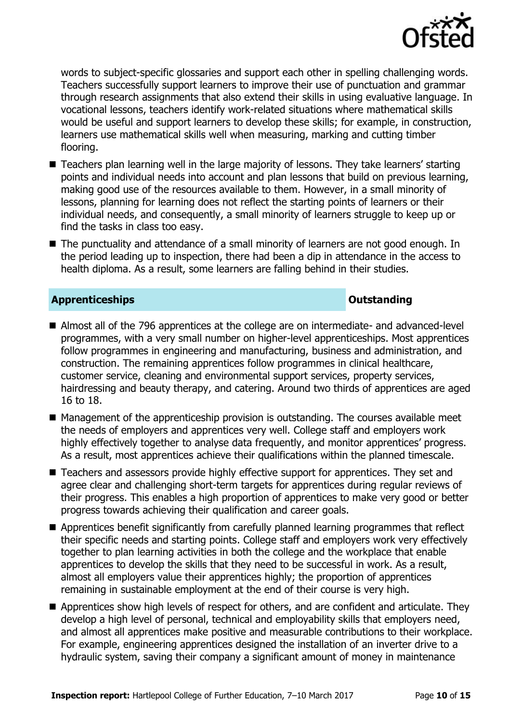

words to subject-specific glossaries and support each other in spelling challenging words. Teachers successfully support learners to improve their use of punctuation and grammar through research assignments that also extend their skills in using evaluative language. In vocational lessons, teachers identify work-related situations where mathematical skills would be useful and support learners to develop these skills; for example, in construction, learners use mathematical skills well when measuring, marking and cutting timber flooring.

- Teachers plan learning well in the large majority of lessons. They take learners' starting points and individual needs into account and plan lessons that build on previous learning, making good use of the resources available to them. However, in a small minority of lessons, planning for learning does not reflect the starting points of learners or their individual needs, and consequently, a small minority of learners struggle to keep up or find the tasks in class too easy.
- The punctuality and attendance of a small minority of learners are not good enough. In the period leading up to inspection, there had been a dip in attendance in the access to health diploma. As a result, some learners are falling behind in their studies.

#### **Apprenticeships Outstanding**

- Almost all of the 796 apprentices at the college are on intermediate- and advanced-level programmes, with a very small number on higher-level apprenticeships. Most apprentices follow programmes in engineering and manufacturing, business and administration, and construction. The remaining apprentices follow programmes in clinical healthcare, customer service, cleaning and environmental support services, property services, hairdressing and beauty therapy, and catering. Around two thirds of apprentices are aged 16 to 18.
- $\blacksquare$  Management of the apprenticeship provision is outstanding. The courses available meet the needs of employers and apprentices very well. College staff and employers work highly effectively together to analyse data frequently, and monitor apprentices' progress. As a result, most apprentices achieve their qualifications within the planned timescale.
- Teachers and assessors provide highly effective support for apprentices. They set and agree clear and challenging short-term targets for apprentices during regular reviews of their progress. This enables a high proportion of apprentices to make very good or better progress towards achieving their qualification and career goals.
- Apprentices benefit significantly from carefully planned learning programmes that reflect their specific needs and starting points. College staff and employers work very effectively together to plan learning activities in both the college and the workplace that enable apprentices to develop the skills that they need to be successful in work. As a result, almost all employers value their apprentices highly; the proportion of apprentices remaining in sustainable employment at the end of their course is very high.
- Apprentices show high levels of respect for others, and are confident and articulate. They develop a high level of personal, technical and employability skills that employers need, and almost all apprentices make positive and measurable contributions to their workplace. For example, engineering apprentices designed the installation of an inverter drive to a hydraulic system, saving their company a significant amount of money in maintenance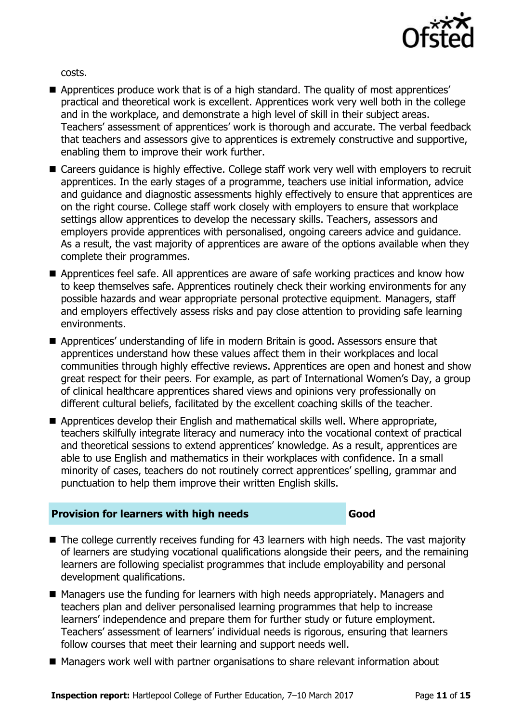

costs.

- Apprentices produce work that is of a high standard. The quality of most apprentices' practical and theoretical work is excellent. Apprentices work very well both in the college and in the workplace, and demonstrate a high level of skill in their subject areas. Teachers' assessment of apprentices' work is thorough and accurate. The verbal feedback that teachers and assessors give to apprentices is extremely constructive and supportive, enabling them to improve their work further.
- Careers guidance is highly effective. College staff work very well with employers to recruit apprentices. In the early stages of a programme, teachers use initial information, advice and guidance and diagnostic assessments highly effectively to ensure that apprentices are on the right course. College staff work closely with employers to ensure that workplace settings allow apprentices to develop the necessary skills. Teachers, assessors and employers provide apprentices with personalised, ongoing careers advice and guidance. As a result, the vast majority of apprentices are aware of the options available when they complete their programmes.
- Apprentices feel safe. All apprentices are aware of safe working practices and know how to keep themselves safe. Apprentices routinely check their working environments for any possible hazards and wear appropriate personal protective equipment. Managers, staff and employers effectively assess risks and pay close attention to providing safe learning environments.
- Apprentices' understanding of life in modern Britain is good. Assessors ensure that apprentices understand how these values affect them in their workplaces and local communities through highly effective reviews. Apprentices are open and honest and show great respect for their peers. For example, as part of International Women's Day, a group of clinical healthcare apprentices shared views and opinions very professionally on different cultural beliefs, facilitated by the excellent coaching skills of the teacher.
- Apprentices develop their English and mathematical skills well. Where appropriate, teachers skilfully integrate literacy and numeracy into the vocational context of practical and theoretical sessions to extend apprentices' knowledge. As a result, apprentices are able to use English and mathematics in their workplaces with confidence. In a small minority of cases, teachers do not routinely correct apprentices' spelling, grammar and punctuation to help them improve their written English skills.

#### **Provision for learners with high needs Good**

- The college currently receives funding for 43 learners with high needs. The vast majority of learners are studying vocational qualifications alongside their peers, and the remaining learners are following specialist programmes that include employability and personal development qualifications.
- Managers use the funding for learners with high needs appropriately. Managers and teachers plan and deliver personalised learning programmes that help to increase learners' independence and prepare them for further study or future employment. Teachers' assessment of learners' individual needs is rigorous, ensuring that learners follow courses that meet their learning and support needs well.
- Managers work well with partner organisations to share relevant information about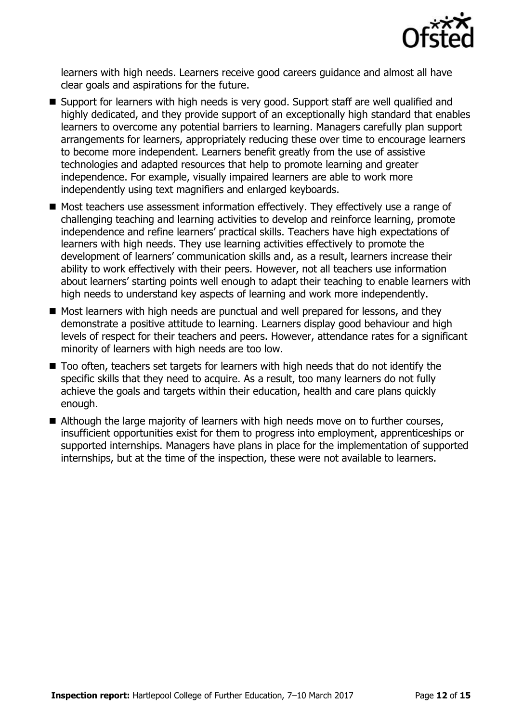

learners with high needs. Learners receive good careers guidance and almost all have clear goals and aspirations for the future.

- Support for learners with high needs is very good. Support staff are well qualified and highly dedicated, and they provide support of an exceptionally high standard that enables learners to overcome any potential barriers to learning. Managers carefully plan support arrangements for learners, appropriately reducing these over time to encourage learners to become more independent. Learners benefit greatly from the use of assistive technologies and adapted resources that help to promote learning and greater independence. For example, visually impaired learners are able to work more independently using text magnifiers and enlarged keyboards.
- Most teachers use assessment information effectively. They effectively use a range of challenging teaching and learning activities to develop and reinforce learning, promote independence and refine learners' practical skills. Teachers have high expectations of learners with high needs. They use learning activities effectively to promote the development of learners' communication skills and, as a result, learners increase their ability to work effectively with their peers. However, not all teachers use information about learners' starting points well enough to adapt their teaching to enable learners with high needs to understand key aspects of learning and work more independently.
- Most learners with high needs are punctual and well prepared for lessons, and they demonstrate a positive attitude to learning. Learners display good behaviour and high levels of respect for their teachers and peers. However, attendance rates for a significant minority of learners with high needs are too low.
- Too often, teachers set targets for learners with high needs that do not identify the specific skills that they need to acquire. As a result, too many learners do not fully achieve the goals and targets within their education, health and care plans quickly enough.
- Although the large majority of learners with high needs move on to further courses, insufficient opportunities exist for them to progress into employment, apprenticeships or supported internships. Managers have plans in place for the implementation of supported internships, but at the time of the inspection, these were not available to learners.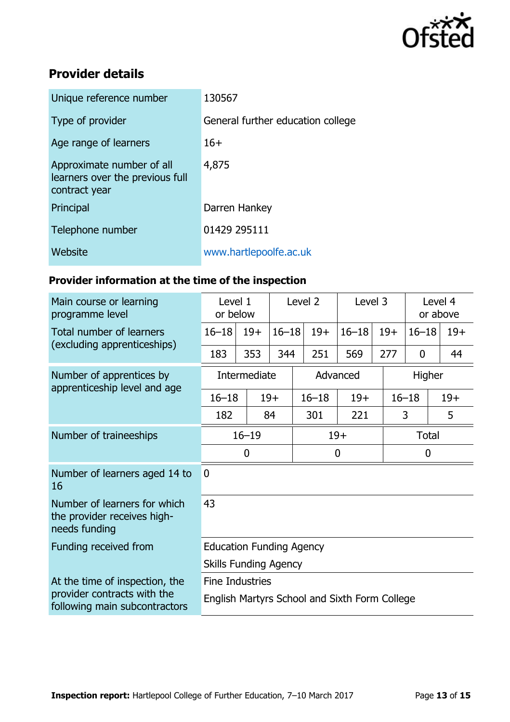

## **Provider details**

| Unique reference number                                                       | 130567                            |
|-------------------------------------------------------------------------------|-----------------------------------|
| Type of provider                                                              | General further education college |
| Age range of learners                                                         | $16+$                             |
| Approximate number of all<br>learners over the previous full<br>contract year | 4,875                             |
| Principal                                                                     | Darren Hankey                     |
| Telephone number                                                              | 01429 295111                      |
| Website                                                                       | www.hartlepoolfe.ac.uk            |
|                                                                               |                                   |

## **Provider information at the time of the inspection**

| Main course or learning<br>programme level                                   | Level 2<br>Level 1<br>or below                |       |           | Level 3     |  | Level 4<br>or above |       |             |       |       |
|------------------------------------------------------------------------------|-----------------------------------------------|-------|-----------|-------------|--|---------------------|-------|-------------|-------|-------|
| Total number of learners                                                     | $16 - 18$                                     | $19+$ | $16 - 18$ | $19+$       |  | $16 - 18$           | $19+$ | $16 - 18$   |       | $19+$ |
| (excluding apprenticeships)                                                  | 183                                           | 353   | 344       | 251         |  | 569                 | 277   | $\mathbf 0$ |       | 44    |
| Number of apprentices by                                                     | Intermediate                                  |       |           | Advanced    |  |                     |       | Higher      |       |       |
| apprenticeship level and age                                                 | $16 - 18$                                     |       | $19+$     | $16 - 18$   |  | $19+$               |       | $16 - 18$   | $19+$ |       |
|                                                                              | 182                                           |       | 84        | 301         |  | 221                 |       | 3           |       | 5     |
| Number of traineeships                                                       | $16 - 19$                                     |       |           | $19+$       |  |                     | Total |             |       |       |
|                                                                              | $\mathbf 0$                                   |       |           | $\mathbf 0$ |  |                     |       | $\mathbf 0$ |       |       |
| Number of learners aged 14 to<br>16                                          | $\mathbf{0}$                                  |       |           |             |  |                     |       |             |       |       |
| Number of learners for which<br>the provider receives high-<br>needs funding | 43                                            |       |           |             |  |                     |       |             |       |       |
| Funding received from                                                        | <b>Education Funding Agency</b>               |       |           |             |  |                     |       |             |       |       |
|                                                                              | <b>Skills Funding Agency</b>                  |       |           |             |  |                     |       |             |       |       |
| At the time of inspection, the                                               | <b>Fine Industries</b>                        |       |           |             |  |                     |       |             |       |       |
| provider contracts with the<br>following main subcontractors                 | English Martyrs School and Sixth Form College |       |           |             |  |                     |       |             |       |       |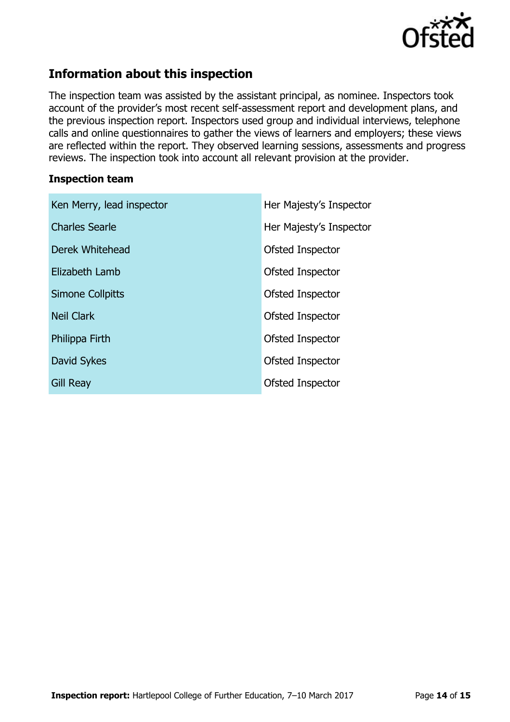

## **Information about this inspection**

The inspection team was assisted by the assistant principal, as nominee. Inspectors took account of the provider's most recent self-assessment report and development plans, and the previous inspection report. Inspectors used group and individual interviews, telephone calls and online questionnaires to gather the views of learners and employers; these views are reflected within the report. They observed learning sessions, assessments and progress reviews. The inspection took into account all relevant provision at the provider.

#### **Inspection team**

| Ken Merry, lead inspector | Her Majesty's Inspector |
|---------------------------|-------------------------|
| <b>Charles Searle</b>     | Her Majesty's Inspector |
| Derek Whitehead           | Ofsted Inspector        |
| Elizabeth Lamb            | Ofsted Inspector        |
| Simone Collpitts          | Ofsted Inspector        |
| <b>Neil Clark</b>         | Ofsted Inspector        |
| Philippa Firth            | Ofsted Inspector        |
| David Sykes               | Ofsted Inspector        |
| <b>Gill Reay</b>          | Ofsted Inspector        |